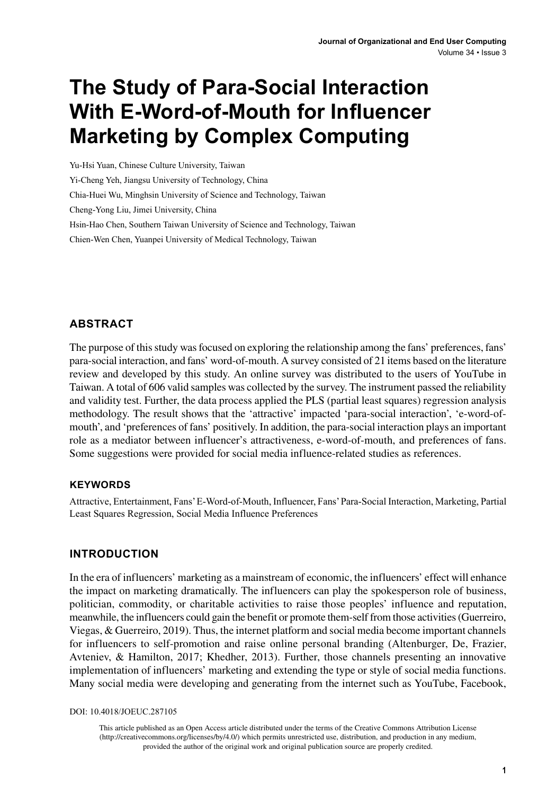# **The Study of Para-Social Interaction With E-Word-of-Mouth for Influencer Marketing by Complex Computing**

Yu-Hsi Yuan, Chinese Culture University, Taiwan Yi-Cheng Yeh, Jiangsu University of Technology, China Chia-Huei Wu, Minghsin University of Science and Technology, Taiwan Cheng-Yong Liu, Jimei University, China Hsin-Hao Chen, Southern Taiwan University of Science and Technology, Taiwan Chien-Wen Chen, Yuanpei University of Medical Technology, Taiwan

## **ABSTRACT**

The purpose of this study was focused on exploring the relationship among the fans' preferences, fans' para-social interaction, and fans' word-of-mouth. A survey consisted of 21 items based on the literature review and developed by this study. An online survey was distributed to the users of YouTube in Taiwan. A total of 606 valid samples was collected by the survey. The instrument passed the reliability and validity test. Further, the data process applied the PLS (partial least squares) regression analysis methodology. The result shows that the 'attractive' impacted 'para-social interaction', 'e-word-ofmouth', and 'preferences of fans' positively. In addition, the para-social interaction plays an important role as a mediator between influencer's attractiveness, e-word-of-mouth, and preferences of fans. Some suggestions were provided for social media influence-related studies as references.

#### **Keywords**

Attractive, Entertainment, Fans' E-Word-of-Mouth, Influencer, Fans' Para-Social Interaction, Marketing, Partial Least Squares Regression, Social Media Influence Preferences

#### **INTRODUCTION**

In the era of influencers' marketing as a mainstream of economic, the influencers' effect will enhance the impact on marketing dramatically. The influencers can play the spokesperson role of business, politician, commodity, or charitable activities to raise those peoples' influence and reputation, meanwhile, the influencers could gain the benefit or promote them-self from those activities (Guerreiro, Viegas, & Guerreiro, 2019). Thus, the internet platform and social media become important channels for influencers to self-promotion and raise online personal branding (Altenburger, De, Frazier, Avteniev, & Hamilton, 2017; Khedher, 2013). Further, those channels presenting an innovative implementation of influencers' marketing and extending the type or style of social media functions. Many social media were developing and generating from the internet such as YouTube, Facebook,

DOI: 10.4018/JOEUC.287105

This article published as an Open Access article distributed under the terms of the Creative Commons Attribution License (http://creativecommons.org/licenses/by/4.0/) which permits unrestricted use, distribution, and production in any medium, provided the author of the original work and original publication source are properly credited.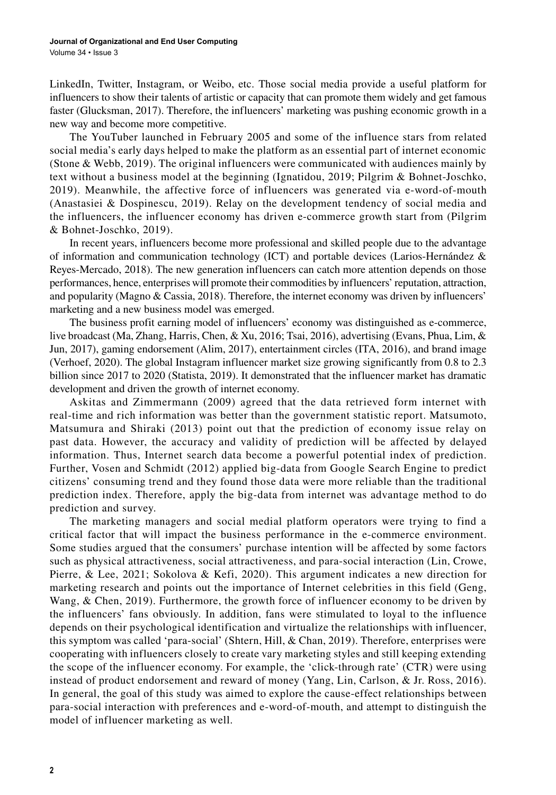LinkedIn, Twitter, Instagram, or Weibo, etc. Those social media provide a useful platform for influencers to show their talents of artistic or capacity that can promote them widely and get famous faster (Glucksman, 2017). Therefore, the influencers' marketing was pushing economic growth in a new way and become more competitive.

The YouTuber launched in February 2005 and some of the influence stars from related social media's early days helped to make the platform as an essential part of internet economic (Stone & Webb, 2019). The original influencers were communicated with audiences mainly by text without a business model at the beginning (Ignatidou, 2019; Pilgrim & Bohnet-Joschko, 2019). Meanwhile, the affective force of influencers was generated via e-word-of-mouth (Anastasiei & Dospinescu, 2019). Relay on the development tendency of social media and the influencers, the influencer economy has driven e-commerce growth start from (Pilgrim & Bohnet-Joschko, 2019).

In recent years, influencers become more professional and skilled people due to the advantage of information and communication technology (ICT) and portable devices (Larios-Hernández & Reyes-Mercado, 2018). The new generation influencers can catch more attention depends on those performances, hence, enterprises will promote their commodities by influencers' reputation, attraction, and popularity (Magno & Cassia, 2018). Therefore, the internet economy was driven by influencers' marketing and a new business model was emerged.

The business profit earning model of influencers' economy was distinguished as e-commerce, live broadcast (Ma, Zhang, Harris, Chen, & Xu, 2016; Tsai, 2016), advertising (Evans, Phua, Lim, & Jun, 2017), gaming endorsement (Alim, 2017), entertainment circles (ITA, 2016), and brand image (Verhoef, 2020). The global Instagram influencer market size growing significantly from 0.8 to 2.3 billion since 2017 to 2020 (Statista, 2019). It demonstrated that the influencer market has dramatic development and driven the growth of internet economy.

Askitas and Zimmermann (2009) agreed that the data retrieved form internet with real-time and rich information was better than the government statistic report. Matsumoto, Matsumura and Shiraki (2013) point out that the prediction of economy issue relay on past data. However, the accuracy and validity of prediction will be affected by delayed information. Thus, Internet search data become a powerful potential index of prediction. Further, Vosen and Schmidt (2012) applied big-data from Google Search Engine to predict citizens' consuming trend and they found those data were more reliable than the traditional prediction index. Therefore, apply the big-data from internet was advantage method to do prediction and survey.

The marketing managers and social medial platform operators were trying to find a critical factor that will impact the business performance in the e-commerce environment. Some studies argued that the consumers' purchase intention will be affected by some factors such as physical attractiveness, social attractiveness, and para-social interaction (Lin, Crowe, Pierre, & Lee, 2021; Sokolova & Kefi, 2020). This argument indicates a new direction for marketing research and points out the importance of Internet celebrities in this field (Geng, Wang, & Chen, 2019). Furthermore, the growth force of influencer economy to be driven by the influencers' fans obviously. In addition, fans were stimulated to loyal to the influence depends on their psychological identification and virtualize the relationships with influencer, this symptom was called 'para-social' (Shtern, Hill, & Chan, 2019). Therefore, enterprises were cooperating with influencers closely to create vary marketing styles and still keeping extending the scope of the influencer economy. For example, the 'click-through rate' (CTR) were using instead of product endorsement and reward of money (Yang, Lin, Carlson, & Jr. Ross, 2016). In general, the goal of this study was aimed to explore the cause-effect relationships between para-social interaction with preferences and e-word-of-mouth, and attempt to distinguish the model of influencer marketing as well.